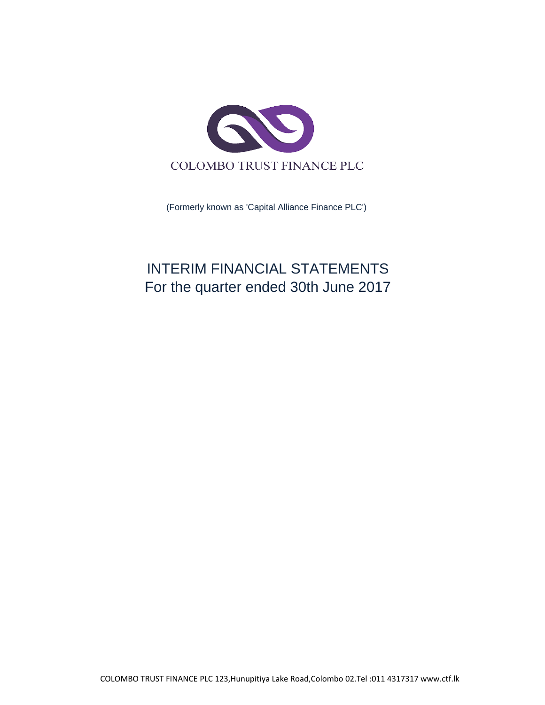

(Formerly known as 'Capital Alliance Finance PLC')

# INTERIM FINANCIAL STATEMENTS For the quarter ended 30th June 2017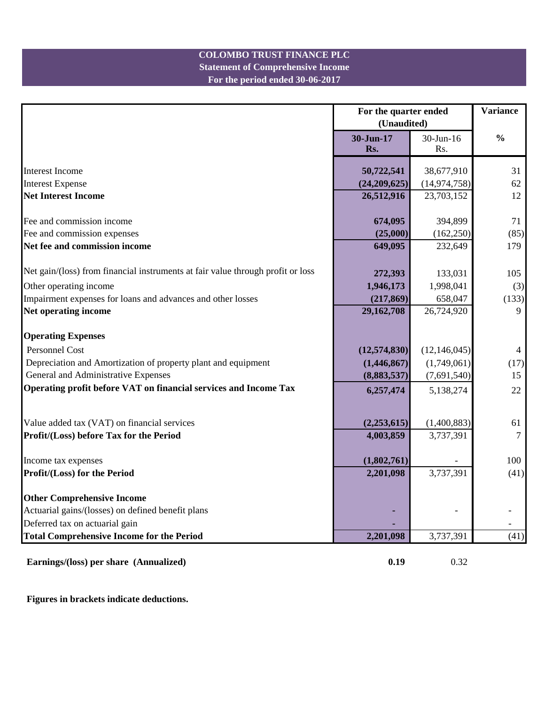#### **For the period ended 30-06-2017 Statement of Comprehensive Income COLOMBO TRUST FINANCE PLC**

|                                                                                 | For the quarter ended<br>(Unaudited) | <b>Variance</b>  |                |
|---------------------------------------------------------------------------------|--------------------------------------|------------------|----------------|
|                                                                                 | 30-Jun-17<br>Rs.                     | 30-Jun-16<br>Rs. | $\frac{0}{0}$  |
| <b>Interest Income</b>                                                          | 50,722,541                           | 38,677,910       | 31             |
| <b>Interest Expense</b>                                                         | (24,209,625)                         | (14, 974, 758)   | 62             |
| <b>Net Interest Income</b>                                                      | 26,512,916                           | 23,703,152       | 12             |
| Fee and commission income                                                       | 674,095                              | 394,899          | 71             |
| Fee and commission expenses                                                     | (25,000)                             | (162, 250)       | (85)           |
| Net fee and commission income                                                   | 649,095                              | 232,649          | 179            |
| Net gain/(loss) from financial instruments at fair value through profit or loss | 272,393                              | 133,031          | 105            |
| Other operating income                                                          | 1,946,173                            | 1,998,041        | (3)            |
| Impairment expenses for loans and advances and other losses                     | (217, 869)                           | 658,047          | (133)          |
| Net operating income                                                            | 29,162,708                           | 26,724,920       | 9              |
| <b>Operating Expenses</b>                                                       |                                      |                  |                |
| Personnel Cost                                                                  | (12, 574, 830)                       | (12, 146, 045)   | $\overline{4}$ |
| Depreciation and Amortization of property plant and equipment                   | (1,446,867)                          | (1,749,061)      | (17)           |
| General and Administrative Expenses                                             | (8,883,537)                          | (7,691,540)      | 15             |
| Operating profit before VAT on financial services and Income Tax                | 6,257,474                            | 5,138,274        | 22             |
|                                                                                 |                                      |                  |                |
| Value added tax (VAT) on financial services                                     | (2,253,615)                          | (1,400,883)      | 61             |
| Profit/(Loss) before Tax for the Period                                         | 4,003,859                            | 3,737,391        | $\overline{7}$ |
| Income tax expenses                                                             | (1,802,761)                          |                  | 100            |
| Profit/(Loss) for the Period                                                    | 2,201,098                            | 3,737,391        | (41)           |
| <b>Other Comprehensive Income</b>                                               |                                      |                  |                |
| Actuarial gains/(losses) on defined benefit plans                               |                                      |                  |                |
| Deferred tax on actuarial gain                                                  |                                      |                  |                |
| <b>Total Comprehensive Income for the Period</b>                                | 2,201,098                            | 3,737,391        | (41)           |
| Earnings/(loss) per share (Annualized)                                          | 0.19                                 | 0.32             |                |

**Figures in brackets indicate deductions.**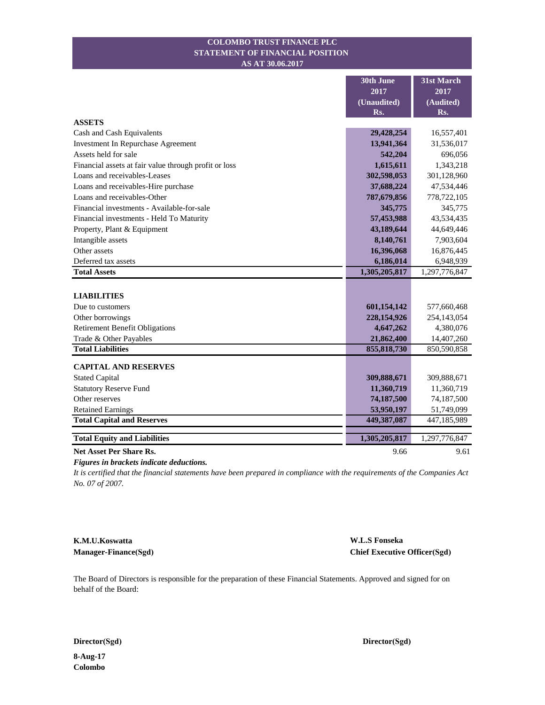#### **STATEMENT OF FINANCIAL POSITION COLOMBO TRUST FINANCE PLC AS AT 30.06.2017**

|                                                       | 30th June     | 31st March    |
|-------------------------------------------------------|---------------|---------------|
|                                                       | 2017          | 2017          |
|                                                       | (Unaudited)   | (Audited)     |
|                                                       | Rs.           | Rs.           |
| <b>ASSETS</b>                                         |               |               |
| Cash and Cash Equivalents                             | 29,428,254    | 16,557,401    |
| Investment In Repurchase Agreement                    | 13,941,364    | 31,536,017    |
| Assets held for sale                                  | 542,204       | 696,056       |
| Financial assets at fair value through profit or loss | 1,615,611     | 1,343,218     |
| Loans and receivables-Leases                          | 302,598,053   | 301,128,960   |
| Loans and receivables-Hire purchase                   | 37,688,224    | 47,534,446    |
| Loans and receivables-Other                           | 787,679,856   | 778,722,105   |
| Financial investments - Available-for-sale            | 345,775       | 345,775       |
| Financial investments - Held To Maturity              | 57,453,988    | 43,534,435    |
| Property, Plant & Equipment                           | 43,189,644    | 44,649,446    |
| Intangible assets                                     | 8,140,761     | 7,903,604     |
| Other assets                                          | 16,396,068    | 16,876,445    |
| Deferred tax assets                                   | 6,186,014     | 6,948,939     |
| <b>Total Assets</b>                                   | 1,305,205,817 | 1,297,776,847 |
|                                                       |               |               |
| <b>LIABILITIES</b>                                    |               |               |
| Due to customers                                      | 601,154,142   | 577,660,468   |
| Other borrowings                                      | 228,154,926   | 254,143,054   |
| <b>Retirement Benefit Obligations</b>                 | 4,647,262     | 4,380,076     |
| Trade & Other Payables                                | 21,862,400    | 14,407,260    |
| <b>Total Liabilities</b>                              | 855, 818, 730 | 850,590,858   |
| <b>CAPITAL AND RESERVES</b>                           |               |               |
| <b>Stated Capital</b>                                 | 309,888,671   | 309,888,671   |
| <b>Statutory Reserve Fund</b>                         | 11,360,719    | 11,360,719    |
| Other reserves                                        | 74,187,500    | 74,187,500    |
| <b>Retained Earnings</b>                              | 53,950,197    | 51,749,099    |
| <b>Total Capital and Reserves</b>                     | 449,387,087   | 447,185,989   |
|                                                       |               |               |
| <b>Total Equity and Liabilities</b>                   | 1,305,205,817 | 1,297,776,847 |
| <b>Net Asset Per Share Rs.</b>                        | 9.66          | 9.61          |

*Figures in brackets indicate deductions.*

*It is certified that the financial statements have been prepared in compliance with the requirements of the Companies Act No. 07 of 2007.*

**K.M.U.Koswatta Manager-Finance(Sgd)**

**W.L.S Fonseka Chief Executive Officer(Sgd)**

The Board of Directors is responsible for the preparation of these Financial Statements. Approved and signed for on behalf of the Board:

**Director(Sgd) Director(Sgd)** 

**8-Aug-17 Colombo**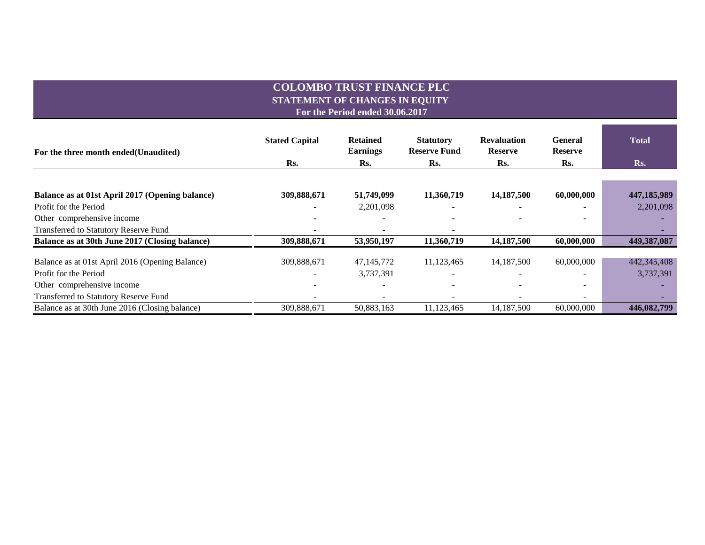#### **COLOMBO TRUST FINANCE PLC STATEMENT OF CHANGES IN EQUITY For the Period ended 30.06.2017**

| For the three month ended (Unaudited)           | <b>Stated Capital</b> | <b>Retained</b><br><b>Earnings</b> | <b>Statutory</b><br><b>Reserve Fund</b> | <b>Revaluation</b><br><b>Reserve</b> | <b>General</b><br><b>Reserve</b> | <b>Total</b> |  |
|-------------------------------------------------|-----------------------|------------------------------------|-----------------------------------------|--------------------------------------|----------------------------------|--------------|--|
|                                                 | Rs.                   | Rs.                                | R <sub>S</sub> .                        | Rs.                                  | Rs.                              | Rs.          |  |
|                                                 |                       |                                    |                                         |                                      |                                  |              |  |
| Balance as at 01st April 2017 (Opening balance) | 309,888,671           | 51,749,099                         | 11,360,719                              | 14,187,500                           | 60,000,000                       | 447,185,989  |  |
| Profit for the Period                           |                       | 2,201,098                          |                                         |                                      |                                  | 2,201,098    |  |
| Other comprehensive income                      |                       |                                    |                                         |                                      |                                  |              |  |
| Transferred to Statutory Reserve Fund           |                       |                                    |                                         |                                      |                                  |              |  |
| Balance as at 30th June 2017 (Closing balance)  | 309,888,671           | 53,950,197                         | 11,360,719                              | 14,187,500                           | 60,000,000                       | 449,387,087  |  |
| Balance as at 01st April 2016 (Opening Balance) | 309,888,671           | 47, 145, 772                       | 11,123,465                              | 14, 187, 500                         | 60,000,000                       | 442,345,408  |  |
| Profit for the Period                           |                       | 3,737,391                          |                                         |                                      |                                  | 3,737,391    |  |
| Other comprehensive income                      |                       |                                    |                                         | ۰                                    | -                                |              |  |
| Transferred to Statutory Reserve Fund           |                       |                                    |                                         |                                      | $\overline{\phantom{0}}$         |              |  |
| Balance as at 30th June 2016 (Closing balance)  | 309,888,671           | 50,883,163                         | 11,123,465                              | 14, 187, 500                         | 60,000,000                       | 446,082,799  |  |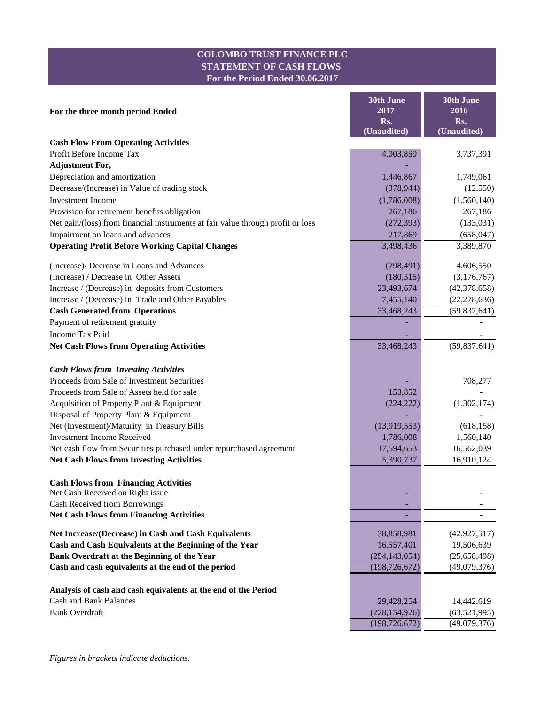#### **COLOMBO TRUST FINANCE PLC STATEMENT OF CASH FLOWS For the Period Ended 30.06.2017**

|                                                                                 | <b>30th June</b>   | 30th June          |
|---------------------------------------------------------------------------------|--------------------|--------------------|
| For the three month period Ended                                                | 2017               | 2016               |
|                                                                                 | Rs.<br>(Unaudited) | Rs.<br>(Unaudited) |
| <b>Cash Flow From Operating Activities</b>                                      |                    |                    |
| Profit Before Income Tax                                                        | 4,003,859          | 3,737,391          |
| <b>Adjustment For,</b>                                                          |                    |                    |
| Depreciation and amortization                                                   | 1,446,867          | 1,749,061          |
| Decrease/(Increase) in Value of trading stock                                   | (378, 944)         | (12, 550)          |
| <b>Investment Income</b>                                                        | (1,786,008)        | (1,560,140)        |
| Provision for retirement benefits obligation                                    | 267,186            | 267,186            |
| Net gain/(loss) from financial instruments at fair value through profit or loss | (272, 393)         | (133, 031)         |
| Impairment on loans and advances                                                | 217,869            | (658, 047)         |
| <b>Operating Profit Before Working Capital Changes</b>                          | 3,498,436          | 3,389,870          |
|                                                                                 |                    |                    |
| (Increase)/ Decrease in Loans and Advances                                      | (798, 491)         | 4,606,550          |
| (Increase) / Decrease in Other Assets                                           | (180, 515)         | (3,176,767)        |
| Increase / (Decrease) in deposits from Customers                                | 23,493,674         | (42, 378, 658)     |
| Increase / (Decrease) in Trade and Other Payables                               | 7,455,140          | (22, 278, 636)     |
| <b>Cash Generated from Operations</b>                                           | 33,468,243         | (59, 837, 641)     |
| Payment of retirement gratuity                                                  |                    |                    |
| <b>Income Tax Paid</b>                                                          |                    |                    |
| <b>Net Cash Flows from Operating Activities</b>                                 | 33,468,243         | (59,837,641)       |
| <b>Cash Flows from Investing Activities</b>                                     |                    |                    |
| Proceeds from Sale of Investment Securities                                     |                    | 708,277            |
| Proceeds from Sale of Assets held for sale                                      | 153,852            |                    |
| Acquisition of Property Plant & Equipment                                       | (224, 222)         | (1,302,174)        |
| Disposal of Property Plant & Equipment                                          |                    |                    |
| Net (Investment)/Maturity in Treasury Bills                                     | (13,919,553)       | (618, 158)         |
| <b>Investment Income Received</b>                                               | 1,786,008          | 1,560,140          |
| Net cash flow from Securities purchased under repurchased agreement             | 17,594,653         | 16,562,039         |
| <b>Net Cash Flows from Investing Activities</b>                                 | 5,390,737          | 16,910,124         |
|                                                                                 |                    |                    |
| <b>Cash Flows from Financing Activities</b>                                     |                    |                    |
| Net Cash Received on Right issue<br>Cash Received from Borrowings               |                    |                    |
| <b>Net Cash Flows from Financing Activities</b>                                 |                    |                    |
| Net Increase/(Decrease) in Cash and Cash Equivalents                            | 38,858,981         | (42, 927, 517)     |
| Cash and Cash Equivalents at the Beginning of the Year                          | 16,557,401         | 19,506,639         |
| Bank Overdraft at the Beginning of the Year                                     | (254, 143, 054)    | (25,658,498)       |
| Cash and cash equivalents at the end of the period                              | (198, 726, 672)    | (49,079,376)       |
|                                                                                 |                    |                    |
| Analysis of cash and cash equivalents at the end of the Period                  |                    |                    |
| <b>Cash and Bank Balances</b>                                                   | 29,428,254         | 14,442,619         |
| <b>Bank Overdraft</b>                                                           | (228, 154, 926)    | (63,521,995)       |
|                                                                                 | (198, 726, 672)    | (49,079,376)       |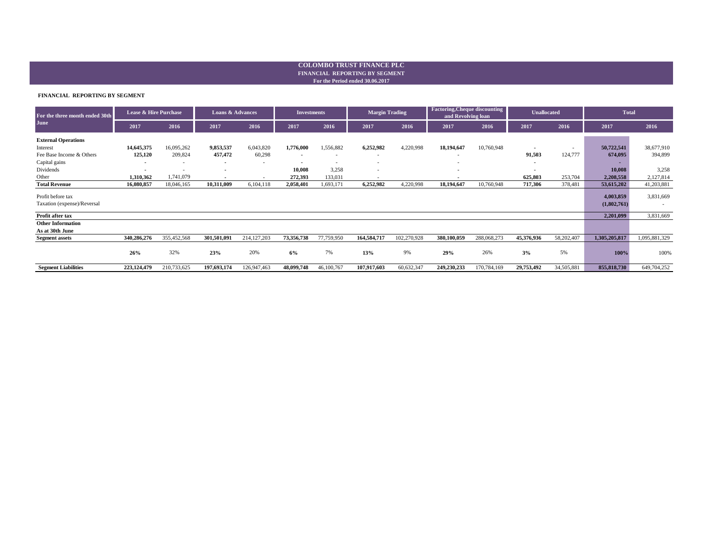#### **For the Period ended 30.06.2017 FINANCIAL REPORTING BY SEGMENT COLOMBO TRUST FINANCE PLC**

#### **FINANCIAL REPORTING BY SEGMENT**

| For the three month ended 30th | Lease & Hire Purchase    |                          | <b>Loans &amp; Advances</b> |               | <b>Investments</b> |                          | <b>Margin Trading</b>    |             | <b>Factoring, Cheque discounting</b><br>and Revolving loan |             | Unallocated |            | <b>Total</b>  |               |
|--------------------------------|--------------------------|--------------------------|-----------------------------|---------------|--------------------|--------------------------|--------------------------|-------------|------------------------------------------------------------|-------------|-------------|------------|---------------|---------------|
| June                           | 2017                     | 2016                     | 2017                        | 2016          | 2017               | 2016                     | 2017                     | 2016        | 2017                                                       | 2016        | 2017        | 2016       | 2017          | 2016          |
| <b>External Operations</b>     |                          |                          |                             |               |                    |                          |                          |             |                                                            |             |             |            |               |               |
| Interest                       | 14,645,375               | 16,095,262               | 9,853,537                   | 6,043,820     | 1,776,000          | 1,556,882                | 6,252,982                | 4,220,998   | 18,194,647                                                 | 10,760,948  | $\sim$      | $\sim$     | 50,722,541    | 38,677,910    |
| Fee Base Income & Others       | 125,120                  | 209,824                  | 457,472                     | 60,298        | $\blacksquare$     |                          | $\overline{\phantom{a}}$ |             |                                                            |             | 91,503      | 124,777    | 674,095       | 394,899       |
| Capital gains                  | $\overline{\phantom{a}}$ | $\overline{\phantom{a}}$ | $\overline{\phantom{a}}$    |               |                    | $\overline{\phantom{a}}$ | $\overline{\phantom{a}}$ |             |                                                            |             | $\sim$      |            |               |               |
| Dividends                      |                          | $\overline{\phantom{a}}$ | . .                         |               | 10,008             | 3,258                    | $\overline{\phantom{a}}$ |             |                                                            |             |             |            | 10,008        | 3,258         |
| Other                          | 1,310,362                | 1,741,079                | $\sim$                      | $\sim$        | 272,393            | 133,031                  | $\overline{\phantom{a}}$ |             | <b>.</b>                                                   |             | 625,803     | 253,704    | 2,208,558     | 2,127,814     |
| <b>Total Revenue</b>           | 16,080,857               | 18,046,165               | 10,311,009                  | 6,104,118     | 2,058,401          | 1,693,171                | 6,252,982                | 4,220,998   | 18,194,647                                                 | 10,760,948  | 717,306     | 378,481    | 53,615,202    | 41,203,881    |
| Profit before tax              |                          |                          |                             |               |                    |                          |                          |             |                                                            |             |             |            | 4,003,859     | 3,831,669     |
| Taxation (expense)/Reversal    |                          |                          |                             |               |                    |                          |                          |             |                                                            |             |             |            | (1,802,761)   |               |
| Profit after tax               |                          |                          |                             |               |                    |                          |                          |             |                                                            |             |             |            | 2,201,099     | 3,831,669     |
| <b>Other Information</b>       |                          |                          |                             |               |                    |                          |                          |             |                                                            |             |             |            |               |               |
| As at 30th June                |                          |                          |                             |               |                    |                          |                          |             |                                                            |             |             |            |               |               |
| <b>Segment assets</b>          | 340,286,276              | 355,452,568              | 301,501,091                 | 214, 127, 203 | 73,356,738         | 77,759,950               | 164,584,717              | 102,270,928 | 380,100,059                                                | 288,068,273 | 45,376,936  | 58,202,407 | 1,305,205,817 | 1,095,881,329 |
|                                | 26%                      | 32%                      | 23%                         | 20%           | 6%                 | 7%                       | 13%                      | 9%          | 29%                                                        | 26%         | 3%          | 5%         | 100%          | 100%          |
| <b>Segment Liabilities</b>     | 223,124,479              | 210,733,625              | 197,693,174                 | 126,947,463   | 48,099,748         | 46,100,767               | 107,917,603              | 60,632,347  | 249,230,233                                                | 170,784,169 | 29,753,492  | 34,505,881 | 855, 818, 730 | 649,704,252   |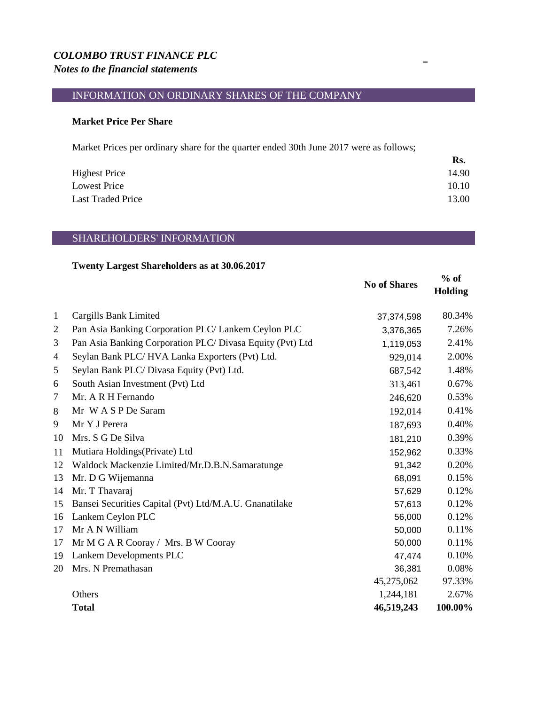# *COLOMBO TRUST FINANCE PLC Notes to the financial statements*

## INFORMATION ON ORDINARY SHARES OF THE COMPANY

#### **Market Price Per Share**

Market Prices per ordinary share for the quarter ended 30th June 2017 were as follows;

|                          | Rs.   |
|--------------------------|-------|
| <b>Highest Price</b>     | 14.90 |
| Lowest Price             | 10.10 |
| <b>Last Traded Price</b> | 13.00 |

### SHAREHOLDERS' INFORMATION

#### **Twenty Largest Shareholders as at 30.06.2017**

|                |                                                           | <b>No of Shares</b> | $%$ of<br><b>Holding</b> |
|----------------|-----------------------------------------------------------|---------------------|--------------------------|
| $\mathbf{1}$   | Cargills Bank Limited                                     | 37,374,598          | 80.34%                   |
| $\overline{2}$ | Pan Asia Banking Corporation PLC/ Lankem Ceylon PLC       | 3,376,365           | 7.26%                    |
| 3              | Pan Asia Banking Corporation PLC/ Divasa Equity (Pvt) Ltd | 1,119,053           | 2.41%                    |
| 4              | Seylan Bank PLC/HVA Lanka Exporters (Pvt) Ltd.            | 929,014             | 2.00%                    |
| 5              | Seylan Bank PLC/ Divasa Equity (Pvt) Ltd.                 | 687,542             | 1.48%                    |
| 6              | South Asian Investment (Pvt) Ltd                          | 313,461             | 0.67%                    |
| $\tau$         | Mr. A R H Fernando                                        | 246,620             | 0.53%                    |
| 8              | Mr W A S P De Saram                                       | 192,014             | 0.41%                    |
| 9              | Mr Y J Perera                                             | 187,693             | 0.40%                    |
| 10             | Mrs. S G De Silva                                         | 181,210             | 0.39%                    |
| 11             | Mutiara Holdings (Private) Ltd                            | 152,962             | 0.33%                    |
| 12             | Waldock Mackenzie Limited/Mr.D.B.N.Samaratunge            | 91,342              | 0.20%                    |
| 13             | Mr. D G Wijemanna                                         | 68,091              | 0.15%                    |
| 14             | Mr. T Thavaraj                                            | 57,629              | 0.12%                    |
| 15             | Bansei Securities Capital (Pvt) Ltd/M.A.U. Gnanatilake    | 57,613              | 0.12%                    |
| 16             | Lankem Ceylon PLC                                         | 56,000              | 0.12%                    |
| 17             | Mr A N William                                            | 50,000              | 0.11%                    |
| 17             | Mr M G A R Cooray / Mrs. B W Cooray                       | 50,000              | 0.11%                    |
| 19             | Lankem Developments PLC                                   | 47,474              | 0.10%                    |
| 20             | Mrs. N Premathasan                                        | 36,381              | 0.08%                    |
|                |                                                           | 45,275,062          | 97.33%                   |
|                | Others                                                    | 1,244,181           | 2.67%                    |
|                | <b>Total</b>                                              | 46,519,243          | 100.00%                  |